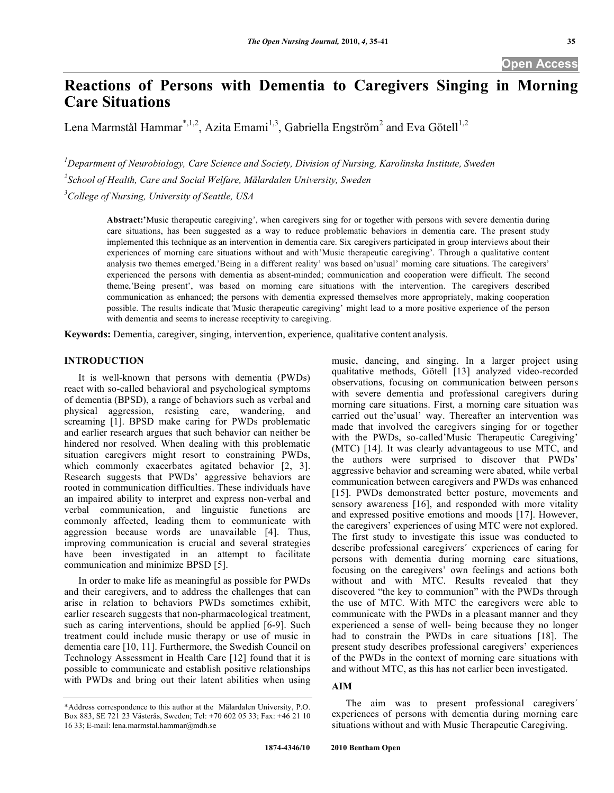# **Reactions of Persons with Dementia to Caregivers Singing in Morning Care Situations**

Lena Marmstål Hammar<sup>\*,1,2</sup>, Azita Emami<sup>1,3</sup>, Gabriella Engström<sup>2</sup> and Eva Götell<sup>1,2</sup>

*1 Department of Neurobiology, Care Science and Society, Division of Nursing, Karolinska Institute, Sweden*  <sup>2</sup> School of Health, Care and Social Welfare, Mälardalen University, Sweden

*3 College of Nursing, University of Seattle, USA* 

**Abstract:'**Music therapeutic caregiving', when caregivers sing for or together with persons with severe dementia during care situations, has been suggested as a way to reduce problematic behaviors in dementia care. The present study implemented this technique as an intervention in dementia care. Six caregivers participated in group interviews about their experiences of morning care situations without and with'Music therapeutic caregiving'. Through a qualitative content analysis two themes emerged.'Being in a different reality' was based on'usual' morning care situations. The caregivers' experienced the persons with dementia as absent-minded; communication and cooperation were difficult. The second theme,'Being present', was based on morning care situations with the intervention. The caregivers described communication as enhanced; the persons with dementia expressed themselves more appropriately, making cooperation possible. The results indicate that*'*Music therapeutic caregiving' might lead to a more positive experience of the person with dementia and seems to increase receptivity to caregiving.

**Keywords:** Dementia, caregiver, singing, intervention, experience, qualitative content analysis.

# **INTRODUCTION**

 It is well-known that persons with dementia (PWDs) react with so-called behavioral and psychological symptoms of dementia (BPSD), a range of behaviors such as verbal and physical aggression, resisting care, wandering, and screaming [1]. BPSD make caring for PWDs problematic and earlier research argues that such behavior can neither be hindered nor resolved. When dealing with this problematic situation caregivers might resort to constraining PWDs, which commonly exacerbates agitated behavior [2, 3]. Research suggests that PWDs' aggressive behaviors are rooted in communication difficulties. These individuals have an impaired ability to interpret and express non-verbal and verbal communication, and linguistic functions are commonly affected, leading them to communicate with aggression because words are unavailable [4]. Thus, improving communication is crucial and several strategies have been investigated in an attempt to facilitate communication and minimize BPSD [5].

 In order to make life as meaningful as possible for PWDs and their caregivers, and to address the challenges that can arise in relation to behaviors PWDs sometimes exhibit, earlier research suggests that non-pharmacological treatment, such as caring interventions, should be applied [6-9]. Such treatment could include music therapy or use of music in dementia care [10, 11]. Furthermore, the Swedish Council on Technology Assessment in Health Care [12] found that it is possible to communicate and establish positive relationships with PWDs and bring out their latent abilities when using music, dancing, and singing. In a larger project using qualitative methods, Götell [13] analyzed video-recorded observations, focusing on communication between persons with severe dementia and professional caregivers during morning care situations. First, a morning care situation was carried out the'usual' way. Thereafter an intervention was made that involved the caregivers singing for or together with the PWDs, so-called'Music Therapeutic Caregiving' (MTC) [14]. It was clearly advantageous to use MTC, and the authors were surprised to discover that PWDs' aggressive behavior and screaming were abated, while verbal communication between caregivers and PWDs was enhanced [15]. PWDs demonstrated better posture, movements and sensory awareness [16], and responded with more vitality and expressed positive emotions and moods [17]. However, the caregivers' experiences of using MTC were not explored. The first study to investigate this issue was conducted to describe professional caregivers´ experiences of caring for persons with dementia during morning care situations, focusing on the caregivers' own feelings and actions both without and with MTC. Results revealed that they discovered "the key to communion" with the PWDs through the use of MTC. With MTC the caregivers were able to communicate with the PWDs in a pleasant manner and they experienced a sense of well- being because they no longer had to constrain the PWDs in care situations [18]. The present study describes professional caregivers' experiences of the PWDs in the context of morning care situations with and without MTC, as this has not earlier been investigated.

# **AIM**

 The aim was to present professional caregivers´ experiences of persons with dementia during morning care situations without and with Music Therapeutic Caregiving.

<sup>\*</sup>Address correspondence to this author at the Mälardalen University, P.O. Box 883, SE 721 23 Västerås, Sweden; Tel: +70 602 05 33; Fax: +46 21 10 16 33; E-mail: lena.marmstal.hammar@mdh.se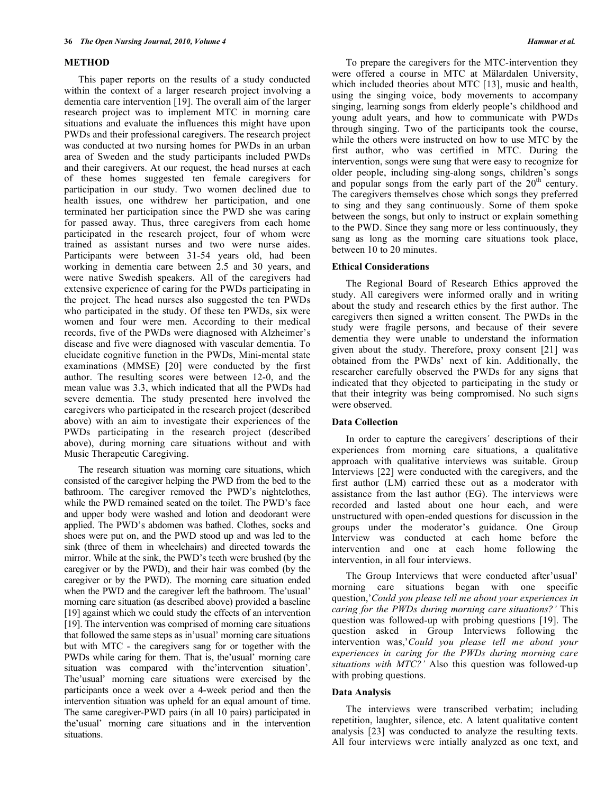#### **METHOD**

 This paper reports on the results of a study conducted within the context of a larger research project involving a dementia care intervention [19]. The overall aim of the larger research project was to implement MTC in morning care situations and evaluate the influences this might have upon PWDs and their professional caregivers. The research project was conducted at two nursing homes for PWDs in an urban area of Sweden and the study participants included PWDs and their caregivers. At our request, the head nurses at each of these homes suggested ten female caregivers for participation in our study. Two women declined due to health issues, one withdrew her participation, and one terminated her participation since the PWD she was caring for passed away. Thus, three caregivers from each home participated in the research project, four of whom were trained as assistant nurses and two were nurse aides. Participants were between 31-54 years old, had been working in dementia care between 2.5 and 30 years, and were native Swedish speakers. All of the caregivers had extensive experience of caring for the PWDs participating in the project. The head nurses also suggested the ten PWDs who participated in the study. Of these ten PWDs, six were women and four were men. According to their medical records, five of the PWDs were diagnosed with Alzheimer's disease and five were diagnosed with vascular dementia. To elucidate cognitive function in the PWDs, Mini-mental state examinations (MMSE) [20] were conducted by the first author. The resulting scores were between 12-0, and the mean value was 3.3, which indicated that all the PWDs had severe dementia. The study presented here involved the caregivers who participated in the research project (described above) with an aim to investigate their experiences of the PWDs participating in the research project (described above), during morning care situations without and with Music Therapeutic Caregiving.

 The research situation was morning care situations, which consisted of the caregiver helping the PWD from the bed to the bathroom. The caregiver removed the PWD's nightclothes, while the PWD remained seated on the toilet. The PWD's face and upper body were washed and lotion and deodorant were applied. The PWD's abdomen was bathed. Clothes, socks and shoes were put on, and the PWD stood up and was led to the sink (three of them in wheelchairs) and directed towards the mirror. While at the sink, the PWD's teeth were brushed (by the caregiver or by the PWD), and their hair was combed (by the caregiver or by the PWD). The morning care situation ended when the PWD and the caregiver left the bathroom. The'usual' morning care situation (as described above) provided a baseline [19] against which we could study the effects of an intervention [19]. The intervention was comprised of morning care situations that followed the same steps as in'usual' morning care situations but with MTC - the caregivers sang for or together with the PWDs while caring for them. That is, the'usual' morning care situation was compared with the'intervention situation'. The'usual' morning care situations were exercised by the participants once a week over a 4-week period and then the intervention situation was upheld for an equal amount of time. The same caregiver-PWD pairs (in all 10 pairs) participated in the'usual' morning care situations and in the intervention situations.

 To prepare the caregivers for the MTC-intervention they were offered a course in MTC at Mälardalen University, which included theories about MTC [13], music and health, using the singing voice, body movements to accompany singing, learning songs from elderly people's childhood and young adult years, and how to communicate with PWDs through singing. Two of the participants took the course, while the others were instructed on how to use MTC by the first author, who was certified in MTC. During the intervention, songs were sung that were easy to recognize for older people, including sing-along songs, children's songs and popular songs from the early part of the  $20<sup>th</sup>$  century. The caregivers themselves chose which songs they preferred to sing and they sang continuously. Some of them spoke between the songs, but only to instruct or explain something to the PWD. Since they sang more or less continuously, they sang as long as the morning care situations took place, between 10 to 20 minutes.

## **Ethical Considerations**

 The Regional Board of Research Ethics approved the study. All caregivers were informed orally and in writing about the study and research ethics by the first author. The caregivers then signed a written consent. The PWDs in the study were fragile persons, and because of their severe dementia they were unable to understand the information given about the study. Therefore, proxy consent [21] was obtained from the PWDs' next of kin. Additionally, the researcher carefully observed the PWDs for any signs that indicated that they objected to participating in the study or that their integrity was being compromised. No such signs were observed.

#### **Data Collection**

 In order to capture the caregivers´ descriptions of their experiences from morning care situations, a qualitative approach with qualitative interviews was suitable. Group Interviews [22] were conducted with the caregivers, and the first author (LM) carried these out as a moderator with assistance from the last author (EG). The interviews were recorded and lasted about one hour each, and were unstructured with open-ended questions for discussion in the groups under the moderator's guidance. One Group Interview was conducted at each home before the intervention and one at each home following the intervention, in all four interviews.

 The Group Interviews that were conducted after'usual' morning care situations began with one specific question,'*Could you please tell me about your experiences in caring for the PWDs during morning care situations?'* This question was followed-up with probing questions [19]. The question asked in Group Interviews following the intervention was,'*Could you please tell me about your experiences in caring for the PWDs during morning care situations with MTC?'* Also this question was followed-up with probing questions.

## **Data Analysis**

 The interviews were transcribed verbatim; including repetition, laughter, silence, etc. A latent qualitative content analysis [23] was conducted to analyze the resulting texts. All four interviews were intially analyzed as one text, and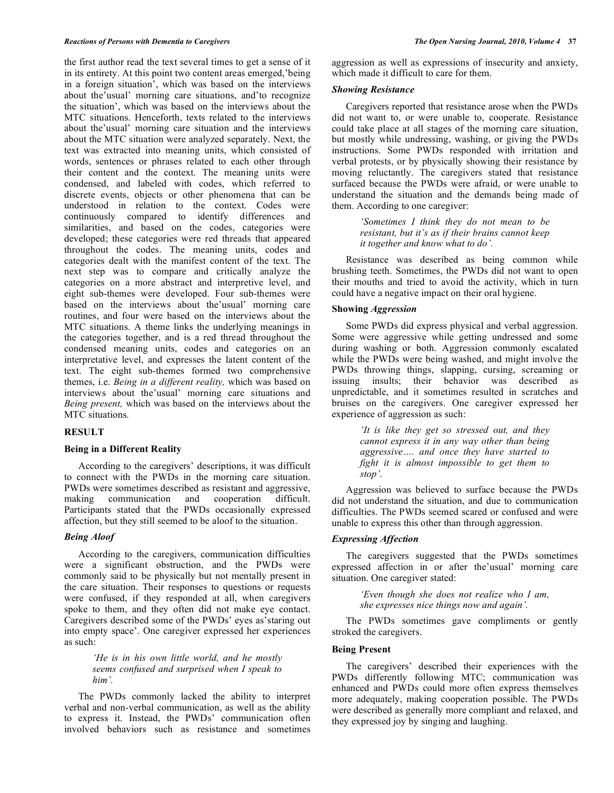#### *Reactions of Persons with Dementia to Caregivers The Open Nursing Journal, 2010, Volume 4* **37**

the first author read the text several times to get a sense of it in its entirety. At this point two content areas emerged,'being in a foreign situation', which was based on the interviews about the'usual' morning care situations, and'to recognize the situation', which was based on the interviews about the MTC situations. Henceforth, texts related to the interviews about the'usual' morning care situation and the interviews about the MTC situation were analyzed separately. Next, the text was extracted into meaning units, which consisted of words, sentences or phrases related to each other through their content and the context. The meaning units were condensed, and labeled with codes, which referred to discrete events, objects or other phenomena that can be understood in relation to the context. Codes were continuously compared to identify differences and similarities, and based on the codes, categories were developed; these categories were red threads that appeared throughout the codes. The meaning units, codes and categories dealt with the manifest content of the text. The next step was to compare and critically analyze the categories on a more abstract and interpretive level, and eight sub-themes were developed. Four sub-themes were based on the interviews about the'usual' morning care routines, and four were based on the interviews about the MTC situations. A theme links the underlying meanings in the categories together, and is a red thread throughout the condensed meaning units, codes and categories on an interpretative level, and expresses the latent content of the text. The eight sub-themes formed two comprehensive themes, i.e. *Being in a different reality,* which was based on interviews about the'usual' morning care situations and *Being present,* which was based on the interviews about the MTC situations*.*

# **RESULT**

## **Being in a Different Reality**

 According to the caregivers' descriptions, it was difficult to connect with the PWDs in the morning care situation. PWDs were sometimes described as resistant and aggressive, making communication and cooperation difficult. Participants stated that the PWDs occasionally expressed affection, but they still seemed to be aloof to the situation.

## *Being Aloof*

 According to the caregivers, communication difficulties were a significant obstruction, and the PWDs were commonly said to be physically but not mentally present in the care situation. Their responses to questions or requests were confused, if they responded at all, when caregivers spoke to them, and they often did not make eye contact. Caregivers described some of the PWDs' eyes as'staring out into empty space'. One caregiver expressed her experiences as such:

> *'He is in his own little world, and he mostly seems confused and surprised when I speak to him'.*

 The PWDs commonly lacked the ability to interpret verbal and non-verbal communication, as well as the ability to express it. Instead, the PWDs' communication often involved behaviors such as resistance and sometimes aggression as well as expressions of insecurity and anxiety, which made it difficult to care for them.

## *Showing Resistance*

 Caregivers reported that resistance arose when the PWDs did not want to, or were unable to, cooperate. Resistance could take place at all stages of the morning care situation, but mostly while undressing, washing, or giving the PWDs instructions. Some PWDs responded with irritation and verbal protests, or by physically showing their resistance by moving reluctantly. The caregivers stated that resistance surfaced because the PWDs were afraid, or were unable to understand the situation and the demands being made of them. According to one caregiver:

> *'Sometimes I think they do not mean to be resistant, but it's as if their brains cannot keep it together and know what to do'.*

 Resistance was described as being common while brushing teeth. Sometimes, the PWDs did not want to open their mouths and tried to avoid the activity, which in turn could have a negative impact on their oral hygiene.

### **Showing** *Aggression*

 Some PWDs did express physical and verbal aggression. Some were aggressive while getting undressed and some during washing or both. Aggression commonly escalated while the PWDs were being washed, and might involve the PWDs throwing things, slapping, cursing, screaming or issuing insults; their behavior was described as unpredictable, and it sometimes resulted in scratches and bruises on the caregivers. One caregiver expressed her experience of aggression as such:

> *'It is like they get so stressed out, and they cannot express it in any way other than being aggressive…. and once they have started to fight it is almost impossible to get them to stop'.*

 Aggression was believed to surface because the PWDs did not understand the situation, and due to communication difficulties. The PWDs seemed scared or confused and were unable to express this other than through aggression.

#### *Expressing Affection*

 The caregivers suggested that the PWDs sometimes expressed affection in or after the'usual' morning care situation. One caregiver stated:

> *'Even though she does not realize who I am, she expresses nice things now and again'.*

 The PWDs sometimes gave compliments or gently stroked the caregivers.

## **Being Present**

 The caregivers' described their experiences with the PWDs differently following MTC; communication was enhanced and PWDs could more often express themselves more adequately, making cooperation possible. The PWDs were described as generally more compliant and relaxed, and they expressed joy by singing and laughing.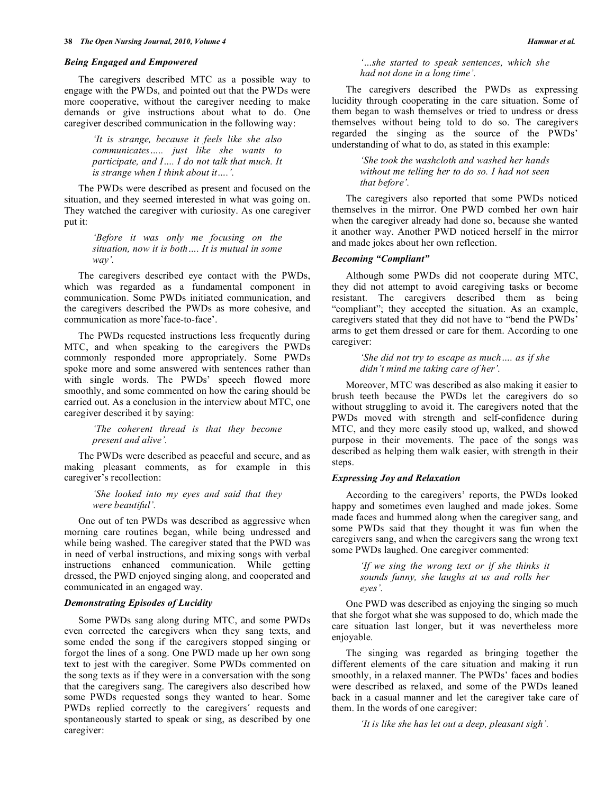#### *Being Engaged and Empowered*

 The caregivers described MTC as a possible way to engage with the PWDs, and pointed out that the PWDs were more cooperative, without the caregiver needing to make demands or give instructions about what to do. One caregiver described communication in the following way:

> *'It is strange, because it feels like she also communicates….. just like she wants to participate, and I…. I do not talk that much. It is strange when I think about it….'.*

 The PWDs were described as present and focused on the situation, and they seemed interested in what was going on. They watched the caregiver with curiosity. As one caregiver put it:

> *'Before it was only me focusing on the situation, now it is both…. It is mutual in some way'.*

 The caregivers described eye contact with the PWDs, which was regarded as a fundamental component in communication. Some PWDs initiated communication, and the caregivers described the PWDs as more cohesive, and communication as more'face-to-face'.

 The PWDs requested instructions less frequently during MTC, and when speaking to the caregivers the PWDs commonly responded more appropriately. Some PWDs spoke more and some answered with sentences rather than with single words. The PWDs' speech flowed more smoothly, and some commented on how the caring should be carried out. As a conclusion in the interview about MTC, one caregiver described it by saying:

> *'The coherent thread is that they become present and alive'.*

 The PWDs were described as peaceful and secure, and as making pleasant comments, as for example in this caregiver's recollection:

## *'She looked into my eyes and said that they were beautiful'.*

 One out of ten PWDs was described as aggressive when morning care routines began, while being undressed and while being washed. The caregiver stated that the PWD was in need of verbal instructions, and mixing songs with verbal instructions enhanced communication. While getting dressed, the PWD enjoyed singing along, and cooperated and communicated in an engaged way.

#### *Demonstrating Episodes of Lucidity*

 Some PWDs sang along during MTC, and some PWDs even corrected the caregivers when they sang texts, and some ended the song if the caregivers stopped singing or forgot the lines of a song. One PWD made up her own song text to jest with the caregiver. Some PWDs commented on the song texts as if they were in a conversation with the song that the caregivers sang. The caregivers also described how some PWDs requested songs they wanted to hear. Some PWDs replied correctly to the caregivers´ requests and spontaneously started to speak or sing, as described by one caregiver:

*'…she started to speak sentences, which she had not done in a long time'.* 

 The caregivers described the PWDs as expressing lucidity through cooperating in the care situation. Some of them began to wash themselves or tried to undress or dress themselves without being told to do so. The caregivers regarded the singing as the source of the PWDs' understanding of what to do, as stated in this example:

> *'She took the washcloth and washed her hands without me telling her to do so. I had not seen that before'.*

 The caregivers also reported that some PWDs noticed themselves in the mirror. One PWD combed her own hair when the caregiver already had done so, because she wanted it another way. Another PWD noticed herself in the mirror and made jokes about her own reflection.

#### *Becoming "Compliant"*

 Although some PWDs did not cooperate during MTC, they did not attempt to avoid caregiving tasks or become resistant. The caregivers described them as being "compliant"; they accepted the situation. As an example, caregivers stated that they did not have to "bend the PWDs' arms to get them dressed or care for them. According to one caregiver:

> *'She did not try to escape as much…. as if she didn't mind me taking care of her'.*

 Moreover, MTC was described as also making it easier to brush teeth because the PWDs let the caregivers do so without struggling to avoid it. The caregivers noted that the PWDs moved with strength and self-confidence during MTC, and they more easily stood up, walked, and showed purpose in their movements. The pace of the songs was described as helping them walk easier, with strength in their steps.

#### *Expressing Joy and Relaxation*

 According to the caregivers' reports, the PWDs looked happy and sometimes even laughed and made jokes. Some made faces and hummed along when the caregiver sang, and some PWDs said that they thought it was fun when the caregivers sang, and when the caregivers sang the wrong text some PWDs laughed. One caregiver commented:

> *'If we sing the wrong text or if she thinks it sounds funny, she laughs at us and rolls her eyes'.*

 One PWD was described as enjoying the singing so much that she forgot what she was supposed to do, which made the care situation last longer, but it was nevertheless more enjoyable.

 The singing was regarded as bringing together the different elements of the care situation and making it run smoothly, in a relaxed manner. The PWDs' faces and bodies were described as relaxed, and some of the PWDs leaned back in a casual manner and let the caregiver take care of them. In the words of one caregiver:

*'It is like she has let out a deep, pleasant sigh'.*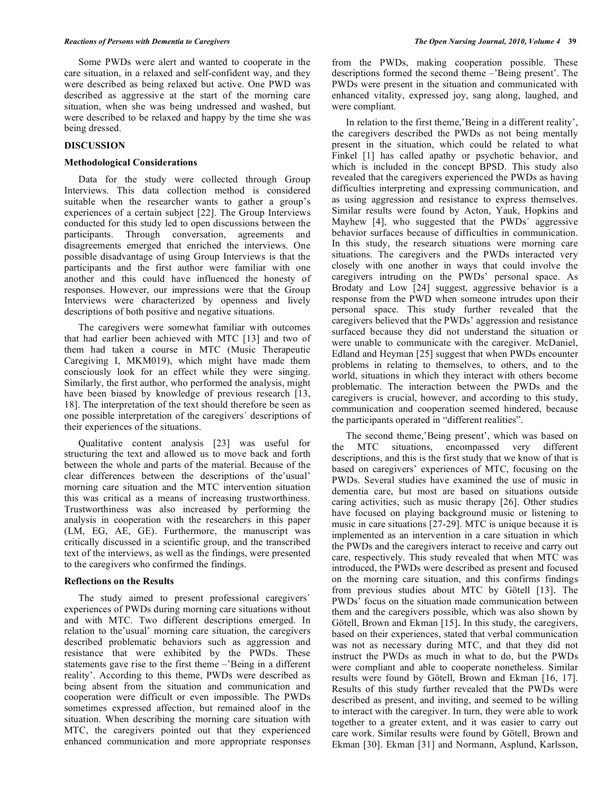Some PWDs were alert and wanted to cooperate in the care situation, in a relaxed and self-confident way, and they were described as being relaxed but active. One PWD was described as aggressive at the start of the morning care situation, when she was being undressed and washed, but were described to be relaxed and happy by the time she was being dressed.

## **DISCUSSION**

#### **Methodological Considerations**

 Data for the study were collected through Group Interviews. This data collection method is considered suitable when the researcher wants to gather a group's experiences of a certain subject [22]. The Group Interviews conducted for this study led to open discussions between the participants. Through conversation, agreements and disagreements emerged that enriched the interviews. One possible disadvantage of using Group Interviews is that the participants and the first author were familiar with one another and this could have influenced the honesty of responses. However, our impressions were that the Group Interviews were characterized by openness and lively descriptions of both positive and negative situations.

 The caregivers were somewhat familiar with outcomes that had earlier been achieved with MTC [13] and two of them had taken a course in MTC (Music Therapeutic Caregiving I, MKM019), which might have made them consciously look for an effect while they were singing. Similarly, the first author, who performed the analysis, might have been biased by knowledge of previous research [13, 18]. The interpretation of the text should therefore be seen as one possible interpretation of the caregivers´ descriptions of their experiences of the situations.

 Qualitative content analysis [23] was useful for structuring the text and allowed us to move back and forth between the whole and parts of the material. Because of the clear differences between the descriptions of the'usual' morning care situation and the MTC intervention situation this was critical as a means of increasing trustworthiness. Trustworthiness was also increased by performing the analysis in cooperation with the researchers in this paper (LM, EG, AE, GE). Furthermore, the manuscript was critically discussed in a scientific group, and the transcribed text of the interviews, as well as the findings, were presented to the caregivers who confirmed the findings.

#### **Reflections on the Results**

 The study aimed to present professional caregivers´ experiences of PWDs during morning care situations without and with MTC. Two different descriptions emerged. In relation to the'usual' morning care situation, the caregivers described problematic behaviors such as aggression and resistance that were exhibited by the PWDs. These statements gave rise to the first theme –'Being in a different reality'. According to this theme, PWDs were described as being absent from the situation and communication and cooperation were difficult or even impossible. The PWDs sometimes expressed affection, but remained aloof in the situation. When describing the morning care situation with MTC, the caregivers pointed out that they experienced enhanced communication and more appropriate responses from the PWDs, making cooperation possible. These descriptions formed the second theme –'Being present'. The PWDs were present in the situation and communicated with enhanced vitality, expressed joy, sang along, laughed, and were compliant.

 In relation to the first theme,'Being in a different reality', the caregivers described the PWDs as not being mentally present in the situation, which could be related to what Finkel [1] has called apathy or psychotic behavior, and which is included in the concept BPSD. This study also revealed that the caregivers experienced the PWDs as having difficulties interpreting and expressing communication, and as using aggression and resistance to express themselves. Similar results were found by Acton, Yauk, Hopkins and Mayhew [4], who suggested that the PWDs<sup>'</sup> aggressive behavior surfaces because of difficulties in communication. In this study, the research situations were morning care situations. The caregivers and the PWDs interacted very closely with one another in ways that could involve the caregivers intruding on the PWDs' personal space. As Brodaty and Low [24] suggest, aggressive behavior is a response from the PWD when someone intrudes upon their personal space. This study further revealed that the caregivers believed that the PWDs' aggression and resistance surfaced because they did not understand the situation or were unable to communicate with the caregiver. McDaniel, Edland and Heyman [25] suggest that when PWDs encounter problems in relating to themselves, to others, and to the world, situations in which they interact with others become problematic. The interaction between the PWDs and the caregivers is crucial, however, and according to this study, communication and cooperation seemed hindered, because the participants operated in "different realities".

 The second theme,'Being present', which was based on the MTC situations, encompassed very different descriptions, and this is the first study that we know of that is based on caregivers' experiences of MTC, focusing on the PWDs. Several studies have examined the use of music in dementia care, but most are based on situations outside caring activities, such as music therapy [26]. Other studies have focused on playing background music or listening to music in care situations [27-29]. MTC is unique because it is implemented as an intervention in a care situation in which the PWDs and the caregivers interact to receive and carry out care, respectively. This study revealed that when MTC was introduced, the PWDs were described as present and focused on the morning care situation, and this confirms findings from previous studies about MTC by Götell [13]. The PWDs' focus on the situation made communication between them and the caregivers possible, which was also shown by Götell, Brown and Ekman [15]. In this study, the caregivers, based on their experiences, stated that verbal communication was not as necessary during MTC, and that they did not instruct the PWDs as much in what to do, but the PWDs were compliant and able to cooperate nonetheless. Similar results were found by Götell, Brown and Ekman [16, 17]. Results of this study further revealed that the PWDs were described as present, and inviting, and seemed to be willing to interact with the caregiver. In turn, they were able to work together to a greater extent, and it was easier to carry out care work. Similar results were found by Götell, Brown and Ekman [30]. Ekman [31] and Normann, Asplund, Karlsson,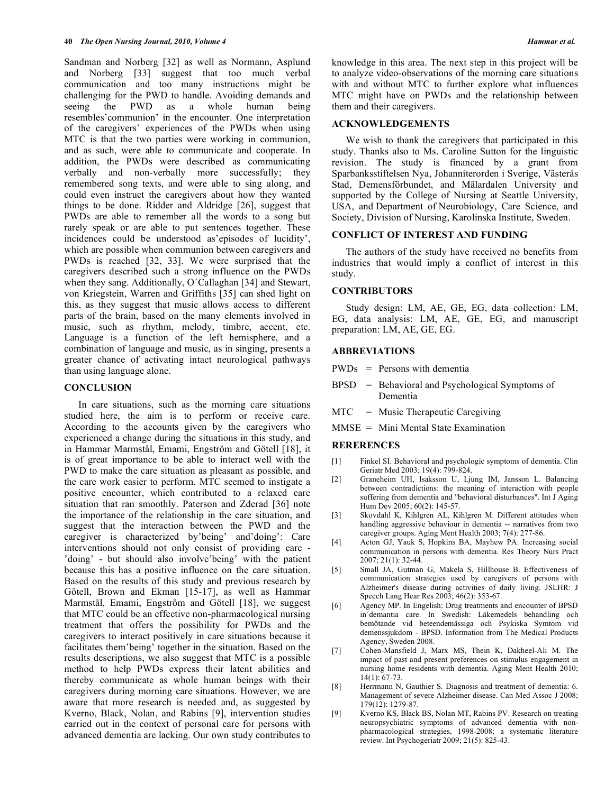Sandman and Norberg [32] as well as Normann, Asplund and Norberg [33] suggest that too much verbal communication and too many instructions might be challenging for the PWD to handle. Avoiding demands and seeing the PWD as a whole human being resembles'communion' in the encounter. One interpretation of the caregivers' experiences of the PWDs when using MTC is that the two parties were working in communion, and as such, were able to communicate and cooperate. In addition, the PWDs were described as communicating verbally and non-verbally more successfully; they remembered song texts, and were able to sing along, and could even instruct the caregivers about how they wanted things to be done. Ridder and Aldridge [26], suggest that PWDs are able to remember all the words to a song but rarely speak or are able to put sentences together. These incidences could be understood as'episodes of lucidity', which are possible when communion between caregivers and PWDs is reached [32, 33]. We were surprised that the caregivers described such a strong influence on the PWDs when they sang. Additionally, O´Callaghan [34] and Stewart, von Kriegstein, Warren and Griffiths [35] can shed light on this, as they suggest that music allows access to different parts of the brain, based on the many elements involved in music, such as rhythm, melody, timbre, accent, etc. Language is a function of the left hemisphere, and a combination of language and music, as in singing, presents a greater chance of activating intact neurological pathways than using language alone.

#### **CONCLUSION**

 In care situations, such as the morning care situations studied here, the aim is to perform or receive care. According to the accounts given by the caregivers who experienced a change during the situations in this study, and in Hammar Marmstål, Emami, Engström and Götell [18], it is of great importance to be able to interact well with the PWD to make the care situation as pleasant as possible, and the care work easier to perform. MTC seemed to instigate a positive encounter, which contributed to a relaxed care situation that ran smoothly. Paterson and Zderad [36] note the importance of the relationship in the care situation, and suggest that the interaction between the PWD and the caregiver is characterized by'being' and'doing': Care interventions should not only consist of providing care - 'doing' - but should also involve'being' with the patient because this has a positive influence on the care situation. Based on the results of this study and previous research by Götell, Brown and Ekman [15-17], as well as Hammar Marmstål, Emami, Engström and Götell [18], we suggest that MTC could be an effective non-pharmacological nursing treatment that offers the possibility for PWDs and the caregivers to interact positively in care situations because it facilitates them'being' together in the situation. Based on the results descriptions, we also suggest that MTC is a possible method to help PWDs express their latent abilities and thereby communicate as whole human beings with their caregivers during morning care situations. However, we are aware that more research is needed and, as suggested by Kverno, Black, Nolan, and Rabins [9], intervention studies carried out in the context of personal care for persons with advanced dementia are lacking. Our own study contributes to

knowledge in this area. The next step in this project will be to analyze video-observations of the morning care situations with and without MTC to further explore what influences MTC might have on PWDs and the relationship between them and their caregivers.

## **ACKNOWLEDGEMENTS**

 We wish to thank the caregivers that participated in this study. Thanks also to Ms. Caroline Sutton for the linguistic revision. The study is financed by a grant from Sparbanksstiftelsen Nya, Johanniterorden i Sverige, Västerås Stad, Demensförbundet, and Mälardalen University and supported by the College of Nursing at Seattle University, USA, and Department of Neurobiology, Care Science, and Society, Division of Nursing, Karolinska Institute, Sweden.

#### **CONFLICT OF INTEREST AND FUNDING**

 The authors of the study have received no benefits from industries that would imply a conflict of interest in this study.

## **CONTRIBUTORS**

 Study design: LM, AE, GE, EG, data collection: LM, EG, data analysis: LM, AE, GE, EG, and manuscript preparation: LM, AE, GE, EG.

#### **ABBREVIATIONS**

- PWDs = Persons with dementia
- BPSD = Behavioral and Psychological Symptoms of Dementia
- MTC = Music Therapeutic Caregiving
- MMSE = Mini Mental State Examination

# **RERERENCES**

- [1] Finkel SI. Behavioral and psychologic symptoms of dementia. Clin Geriatr Med 2003; 19(4): 799-824.
- [2] Graneheim UH, Isaksson U, Ljung IM, Jansson L. Balancing between contradictions: the meaning of interaction with people suffering from dementia and "behavioral disturbances". Int J Aging Hum Dev 2005; 60(2): 145-57.
- [3] Skovdahl K, Kihlgren AL, Kihlgren M. Different attitudes when handling aggressive behaviour in dementia -- narratives from two caregiver groups. Aging Ment Health 2003; 7(4): 277-86.
- [4] Acton GJ, Yauk S, Hopkins BA, Mayhew PA. Increasing social communication in persons with dementia. Res Theory Nurs Pract 2007; 21(1): 32-44.
- [5] Small JA, Gutman G, Makela S, Hillhouse B. Effectiveness of communication strategies used by caregivers of persons with Alzheimer's disease during activities of daily living. JSLHR: J Speech Lang Hear Res 2003; 46(2): 353-67.
- [6] Agency MP. In Engelish: Drug treatments and encounter of BPSD in´demantia care. In Swedish: Läkemedels behandling och bemötande vid beteendemässiga och Psykiska Symtom vid demenssjukdom - BPSD. Information from The Medical Products Agency, Sweden 2008.
- [7] Cohen-Mansfield J, Marx MS, Thein K, Dakheel-Ali M. The impact of past and present preferences on stimulus engagement in nursing home residents with dementia. Aging Ment Health 2010; 14(1): 67-73.
- [8] Herrmann N, Gauthier S. Diagnosis and treatment of dementia: 6. Management of severe Alzheimer disease. Can Med Assoc J 2008; 179(12): 1279-87.
- [9] Kverno KS, Black BS, Nolan MT, Rabins PV. Research on treating neuropsychiatric symptoms of advanced dementia with nonpharmacological strategies, 1998-2008: a systematic literature review. Int Psychogeriatr 2009; 21(5): 825-43.